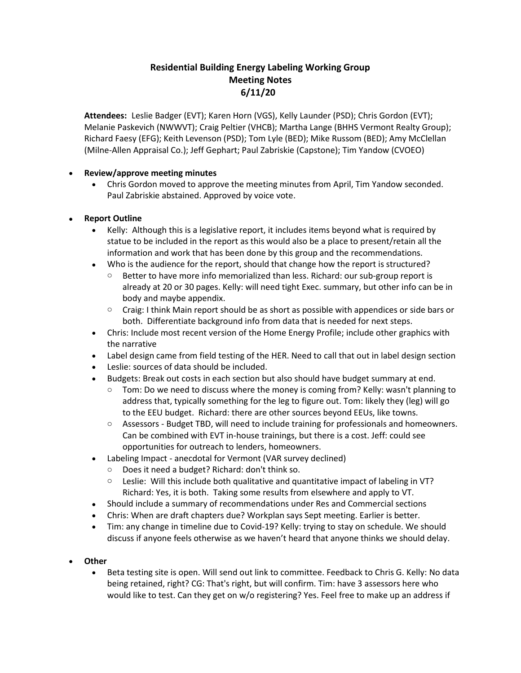## **Residential Building Energy Labeling Working Group Meeting Notes 6/11/20**

**Attendees:** Leslie Badger (EVT); Karen Horn (VGS), Kelly Launder (PSD); Chris Gordon (EVT); Melanie Paskevich (NWWVT); Craig Peltier (VHCB); Martha Lange (BHHS Vermont Realty Group); Richard Faesy (EFG); Keith Levenson (PSD); Tom Lyle (BED); Mike Russom (BED); Amy McClellan (Milne-Allen Appraisal Co.); Jeff Gephart; Paul Zabriskie (Capstone); Tim Yandow (CVOEO)

## • **Review/approve meeting minutes**

• Chris Gordon moved to approve the meeting minutes from April, Tim Yandow seconded. Paul Zabriskie abstained. Approved by voice vote.

## • **Report Outline**

- Kelly: Although this is a legislative report, it includes items beyond what is required by statue to be included in the report as this would also be a place to present/retain all the information and work that has been done by this group and the recommendations.
- Who is the audience for the report, should that change how the report is structured?
	- $\circ$  Better to have more info memorialized than less. Richard: our sub-group report is already at 20 or 30 pages. Kelly: will need tight Exec. summary, but other info can be in body and maybe appendix.
	- $\circ$  Craig: I think Main report should be as short as possible with appendices or side bars or both. Differentiate background info from data that is needed for next steps.
- Chris: Include most recent version of the Home Energy Profile; include other graphics with the narrative
- Label design came from field testing of the HER. Need to call that out in label design section
- Leslie: sources of data should be included.
- Budgets: Break out costs in each section but also should have budget summary at end.
	- $\circ$  Tom: Do we need to discuss where the money is coming from? Kelly: wasn't planning to address that, typically something for the leg to figure out. Tom: likely they (leg) will go to the EEU budget. Richard: there are other sources beyond EEUs, like towns.
	- o Assessors Budget TBD, will need to include training for professionals and homeowners. Can be combined with EVT in-house trainings, but there is a cost. Jeff: could see opportunities for outreach to lenders, homeowners.
- Labeling Impact anecdotal for Vermont (VAR survey declined)
	- o Does it need a budget? Richard: don't think so.
	- $\circ$  Leslie: Will this include both qualitative and quantitative impact of labeling in VT? Richard: Yes, it is both. Taking some results from elsewhere and apply to VT.
- Should include a summary of recommendations under Res and Commercial sections
- Chris: When are draft chapters due? Workplan says Sept meeting. Earlier is better.
- Tim: any change in timeline due to Covid-19? Kelly: trying to stay on schedule. We should discuss if anyone feels otherwise as we haven't heard that anyone thinks we should delay.
- **Other**
	- Beta testing site is open. Will send out link to committee. Feedback to Chris G. Kelly: No data being retained, right? CG: That's right, but will confirm. Tim: have 3 assessors here who would like to test. Can they get on w/o registering? Yes. Feel free to make up an address if